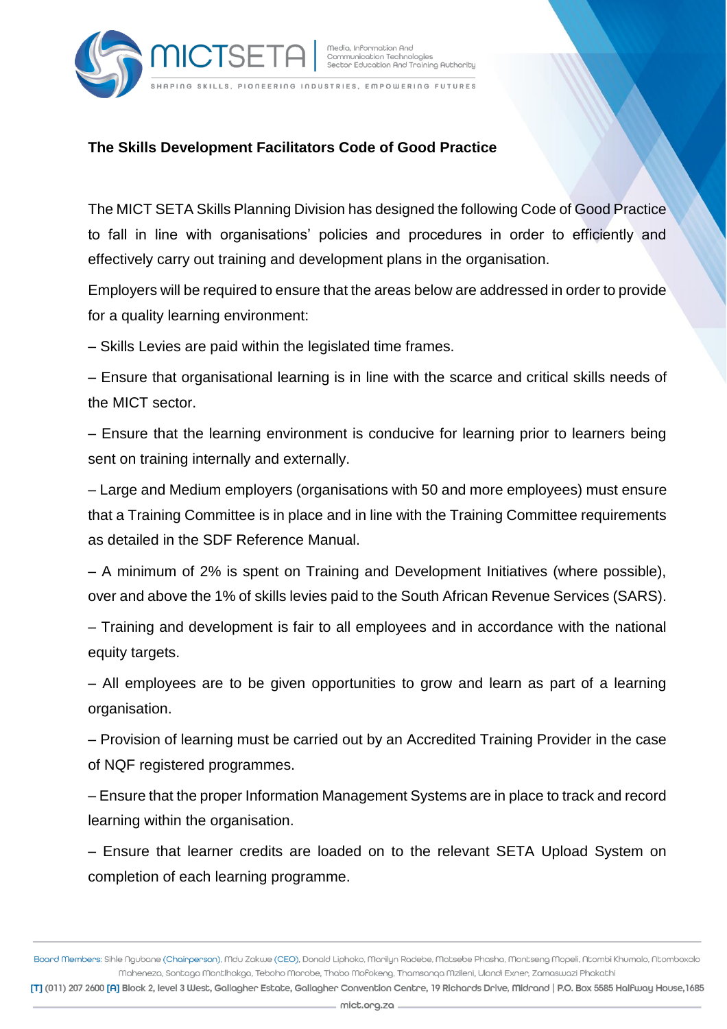

Media, Information And Communication Technologies<br>Sector Education And Training Authority

HAPING SKILLS, PIONEERING INDUSTRIES, EMPOWERING FUTURES

## **The Skills Development Facilitators Code of Good Practice**

**IICTSE** 

The MICT SETA Skills Planning Division has designed the following Code of Good Practice to fall in line with organisations' policies and procedures in order to efficiently and effectively carry out training and development plans in the organisation.

Employers will be required to ensure that the areas below are addressed in order to provide for a quality learning environment:

– Skills Levies are paid within the legislated time frames.

– Ensure that organisational learning is in line with the scarce and critical skills needs of the MICT sector.

– Ensure that the learning environment is conducive for learning prior to learners being sent on training internally and externally.

– Large and Medium employers (organisations with 50 and more employees) must ensure that a Training Committee is in place and in line with the Training Committee requirements as detailed in the SDF Reference Manual.

– A minimum of 2% is spent on Training and Development Initiatives (where possible), over and above the 1% of skills levies paid to the South African Revenue Services (SARS).

– Training and development is fair to all employees and in accordance with the national equity targets.

– All employees are to be given opportunities to grow and learn as part of a learning organisation.

– Provision of learning must be carried out by an Accredited Training Provider in the case of NQF registered programmes.

– Ensure that the proper Information Management Systems are in place to track and record learning within the organisation.

– Ensure that learner credits are loaded on to the relevant SETA Upload System on completion of each learning programme.

Board Members: Sihle Ngubane (Chairperson), Mdu Zakwe (CEO), Donald Liphoko, Marilyn Radebe, Matsebe Phasha, Montseng Mopeli, Ntombi Khumalo, Ntomboxolo Maheneza, Sontaga Mantlhakga, Teboho Morobe, Thabo Mofokeng, Thamsanqa Mzileni, Ulandi Exner, Zamaswazi Phakathi

[T] (011) 207 2600 [A] Block 2, level 3 West, Gallagher Estate, Gallagher Convention Centre, 19 Richards Drive, Midrand | P.O. Box 5585 Halfway House, 1685